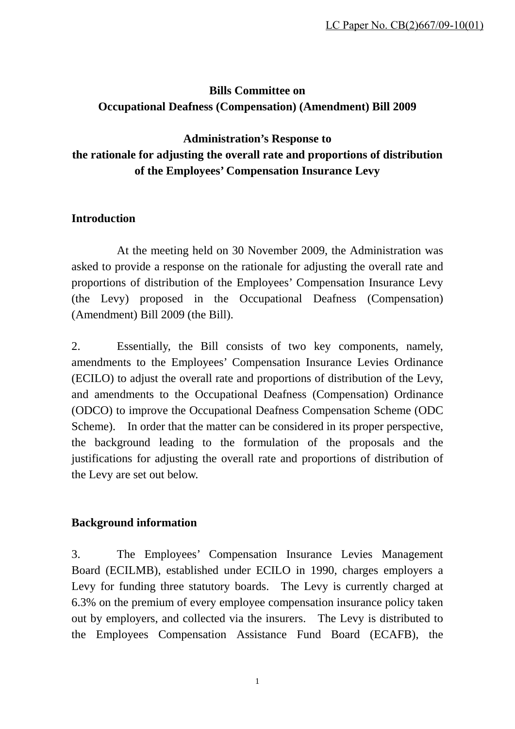# **Bills Committee on Occupational Deafness (Compensation) (Amendment) Bill 2009**

# **Administration's Response to the rationale for adjusting the overall rate and proportions of distribution of the Employees' Compensation Insurance Levy**

### **Introduction**

 At the meeting held on 30 November 2009, the Administration was asked to provide a response on the rationale for adjusting the overall rate and proportions of distribution of the Employees' Compensation Insurance Levy (the Levy) proposed in the Occupational Deafness (Compensation) (Amendment) Bill 2009 (the Bill).

2. Essentially, the Bill consists of two key components, namely, amendments to the Employees' Compensation Insurance Levies Ordinance (ECILO) to adjust the overall rate and proportions of distribution of the Levy, and amendments to the Occupational Deafness (Compensation) Ordinance (ODCO) to improve the Occupational Deafness Compensation Scheme (ODC Scheme). In order that the matter can be considered in its proper perspective, the background leading to the formulation of the proposals and the justifications for adjusting the overall rate and proportions of distribution of the Levy are set out below.

### **Background information**

3. The Employees' Compensation Insurance Levies Management Board (ECILMB), established under ECILO in 1990, charges employers a Levy for funding three statutory boards. The Levy is currently charged at 6.3% on the premium of every employee compensation insurance policy taken out by employers, and collected via the insurers. The Levy is distributed to the Employees Compensation Assistance Fund Board (ECAFB), the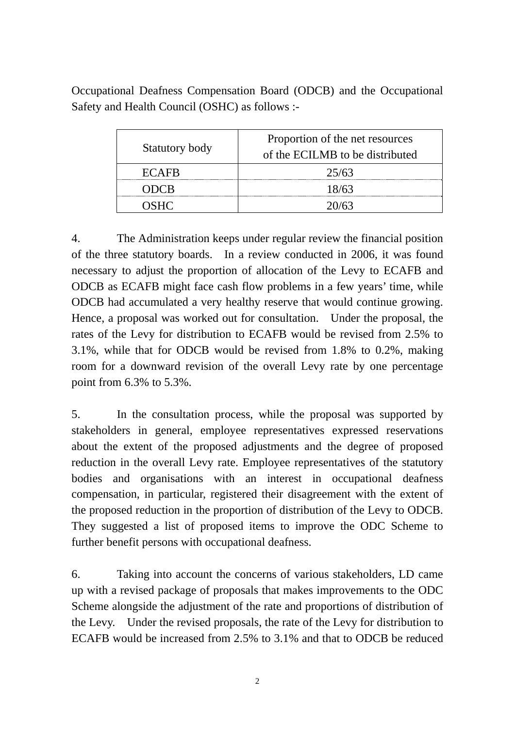Occupational Deafness Compensation Board (ODCB) and the Occupational Safety and Health Council (OSHC) as follows :-

| Statutory body | Proportion of the net resources<br>of the ECILMB to be distributed |
|----------------|--------------------------------------------------------------------|
| ECAFR          | 25/63                                                              |
| ODCR           | 18/63                                                              |
| <b>NSHC</b>    | 20/63                                                              |

4. The Administration keeps under regular review the financial position of the three statutory boards. In a review conducted in 2006, it was found necessary to adjust the proportion of allocation of the Levy to ECAFB and ODCB as ECAFB might face cash flow problems in a few years' time, while ODCB had accumulated a very healthy reserve that would continue growing. Hence, a proposal was worked out for consultation. Under the proposal, the rates of the Levy for distribution to ECAFB would be revised from 2.5% to 3.1%, while that for ODCB would be revised from 1.8% to 0.2%, making room for a downward revision of the overall Levy rate by one percentage point from 6.3% to 5.3%.

5. In the consultation process, while the proposal was supported by stakeholders in general, employee representatives expressed reservations about the extent of the proposed adjustments and the degree of proposed reduction in the overall Levy rate. Employee representatives of the statutory bodies and organisations with an interest in occupational deafness compensation, in particular, registered their disagreement with the extent of the proposed reduction in the proportion of distribution of the Levy to ODCB. They suggested a list of proposed items to improve the ODC Scheme to further benefit persons with occupational deafness.

6. Taking into account the concerns of various stakeholders, LD came up with a revised package of proposals that makes improvements to the ODC Scheme alongside the adjustment of the rate and proportions of distribution of the Levy. Under the revised proposals, the rate of the Levy for distribution to ECAFB would be increased from 2.5% to 3.1% and that to ODCB be reduced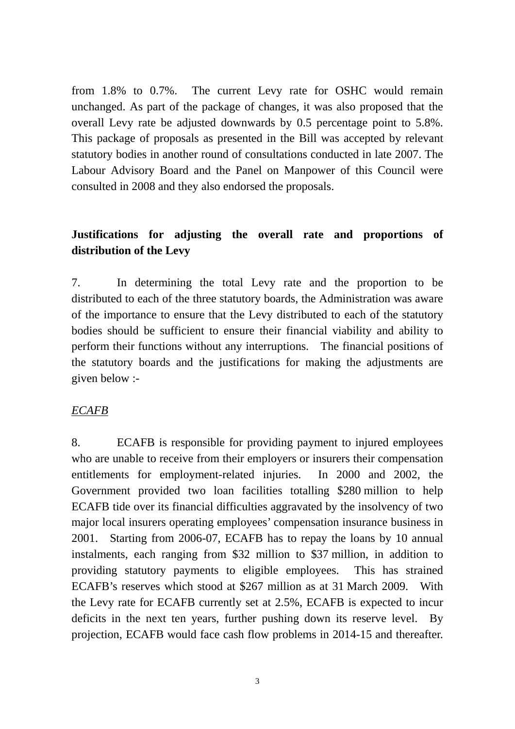from 1.8% to 0.7%. The current Levy rate for OSHC would remain unchanged. As part of the package of changes, it was also proposed that the overall Levy rate be adjusted downwards by 0.5 percentage point to 5.8%. This package of proposals as presented in the Bill was accepted by relevant statutory bodies in another round of consultations conducted in late 2007. The Labour Advisory Board and the Panel on Manpower of this Council were consulted in 2008 and they also endorsed the proposals.

# **Justifications for adjusting the overall rate and proportions of distribution of the Levy**

7. In determining the total Levy rate and the proportion to be distributed to each of the three statutory boards, the Administration was aware of the importance to ensure that the Levy distributed to each of the statutory bodies should be sufficient to ensure their financial viability and ability to perform their functions without any interruptions. The financial positions of the statutory boards and the justifications for making the adjustments are given below :-

#### *ECAFB*

8. ECAFB is responsible for providing payment to injured employees who are unable to receive from their employers or insurers their compensation entitlements for employment-related injuries. In 2000 and 2002, the Government provided two loan facilities totalling \$280 million to help ECAFB tide over its financial difficulties aggravated by the insolvency of two major local insurers operating employees' compensation insurance business in 2001. Starting from 2006-07, ECAFB has to repay the loans by 10 annual instalments, each ranging from \$32 million to \$37 million, in addition to providing statutory payments to eligible employees. This has strained ECAFB's reserves which stood at \$267 million as at 31 March 2009. With the Levy rate for ECAFB currently set at 2.5%, ECAFB is expected to incur deficits in the next ten years, further pushing down its reserve level. By projection, ECAFB would face cash flow problems in 2014-15 and thereafter.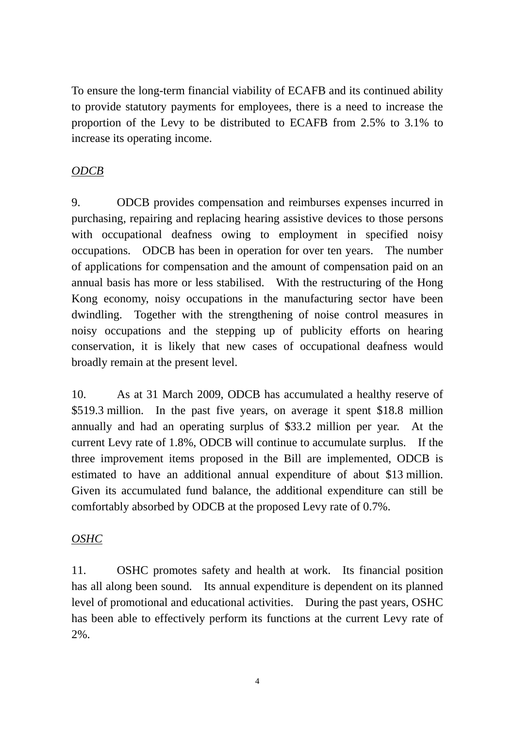To ensure the long-term financial viability of ECAFB and its continued ability to provide statutory payments for employees, there is a need to increase the proportion of the Levy to be distributed to ECAFB from 2.5% to 3.1% to increase its operating income.

## *ODCB*

9. ODCB provides compensation and reimburses expenses incurred in purchasing, repairing and replacing hearing assistive devices to those persons with occupational deafness owing to employment in specified noisy occupations. ODCB has been in operation for over ten years. The number of applications for compensation and the amount of compensation paid on an annual basis has more or less stabilised. With the restructuring of the Hong Kong economy, noisy occupations in the manufacturing sector have been dwindling. Together with the strengthening of noise control measures in noisy occupations and the stepping up of publicity efforts on hearing conservation, it is likely that new cases of occupational deafness would broadly remain at the present level.

10. As at 31 March 2009, ODCB has accumulated a healthy reserve of \$519.3 million. In the past five years, on average it spent \$18.8 million annually and had an operating surplus of \$33.2 million per year. At the current Levy rate of 1.8%, ODCB will continue to accumulate surplus. If the three improvement items proposed in the Bill are implemented, ODCB is estimated to have an additional annual expenditure of about \$13 million. Given its accumulated fund balance, the additional expenditure can still be comfortably absorbed by ODCB at the proposed Levy rate of 0.7%.

### *OSHC*

11. OSHC promotes safety and health at work. Its financial position has all along been sound. Its annual expenditure is dependent on its planned level of promotional and educational activities. During the past years, OSHC has been able to effectively perform its functions at the current Levy rate of 2%.

4